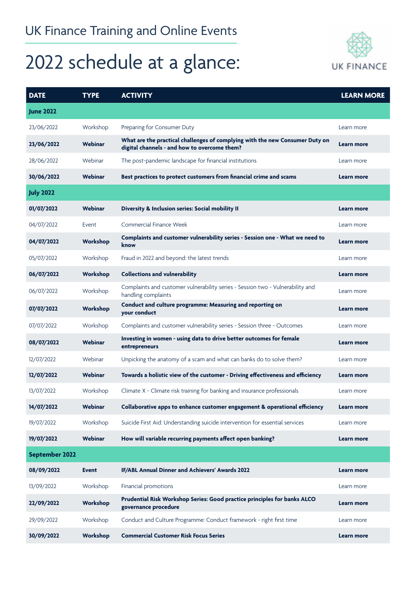## 2022 schedule at a glance:



| <b>DATE</b>      | <b>TYPE</b>  | <b>ACTIVITY</b>                                                                                                              | <b>LEARN MORE</b> |
|------------------|--------------|------------------------------------------------------------------------------------------------------------------------------|-------------------|
| <b>June 2022</b> |              |                                                                                                                              |                   |
| 23/06/2022       | Workshop     | Preparing for Consumer Duty                                                                                                  | Learn more        |
| 23/06/2022       | Webinar      | What are the practical challenges of complying with the new Consumer Duty on<br>digital channels - and how to overcome them? | <b>Learn more</b> |
| 28/06/2022       | Webinar      | The post-pandemic landscape for financial institutions                                                                       | Learn more        |
| 30/06/2022       | Webinar      | Best practices to protect customers from financial crime and scams                                                           | Learn more        |
| <b>July 2022</b> |              |                                                                                                                              |                   |
| 01/07/2022       | Webinar      | Diversity & Inclusion series: Social mobility II                                                                             | Learn more        |
| 04/07/2022       | Event        | Commercial Finance Week                                                                                                      | Learn more        |
| 04/07/2022       | Workshop     | Complaints and customer vulnerability series - Session one - What we need to<br>know                                         | Learn more        |
| 05/07/2022       | Workshop     | Fraud in 2022 and beyond: the latest trends                                                                                  | Learn more        |
| 06/07/2022       | Workshop     | <b>Collections and vulnerability</b>                                                                                         | Learn more        |
| 06/07/2022       | Workshop     | Complaints and customer vulnerability series - Session two - Vulnerability and<br>handling complaints                        | Learn more        |
| 07/07/2022       | Workshop     | Conduct and culture programme: Measuring and reporting on<br>your conduct                                                    | Learn more        |
| 07/07/2022       | Workshop     | Complaints and customer vulnerability series - Session three - Outcomes                                                      | Learn more        |
| 08/07/2022       | Webinar      | Investing in women - using data to drive better outcomes for female<br>entrepreneurs                                         | Learn more        |
| 12/07/2022       | Webinar      | Unpicking the anatomy of a scam and what can banks do to solve them?                                                         | Learn more        |
| 12/07/2022       | Webinar      | Towards a holistic view of the customer - Driving effectiveness and efficiency                                               | Learn more        |
| 13/07/2022       | Workshop     | Climate X - Climate risk training for banking and insurance professionals                                                    | Learn more        |
| 14/07/2022       | Webinar      | Collaborative apps to enhance customer engagement & operational efficiency                                                   | Learn more        |
| 19/07/2022       | Workshop     | Suicide First Aid: Understanding suicide intervention for essential services                                                 | Learn more        |
| 19/07/2022       | Webinar      | How will variable recurring payments affect open banking?                                                                    | Learn more        |
| September 2022   |              |                                                                                                                              |                   |
| 08/09/2022       | <b>Event</b> | IF/ABL Annual Dinner and Achievers' Awards 2022                                                                              | Learn more        |
| 13/09/2022       | Workshop     | Financial promotions                                                                                                         | Learn more        |
| 22/09/2022       | Workshop     | Prudential Risk Workshop Series: Good practice principles for banks ALCO<br>governance procedure                             | Learn more        |
| 29/09/2022       | Workshop     | Conduct and Culture Programme: Conduct framework - right first time                                                          | Learn more        |
| 30/09/2022       | Workshop     | <b>Commercial Customer Risk Focus Series</b>                                                                                 | Learn more        |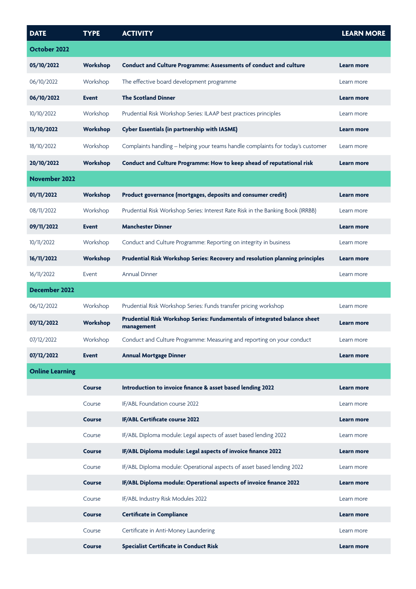| <b>DATE</b>            | <b>TYPE</b>   | <b>ACTIVITY</b>                                                                         | <b>LEARN MORE</b> |
|------------------------|---------------|-----------------------------------------------------------------------------------------|-------------------|
| October 2022           |               |                                                                                         |                   |
| 05/10/2022             | Workshop      | Conduct and Culture Programme: Assessments of conduct and culture                       | Learn more        |
| 06/10/2022             | Workshop      | The effective board development programme                                               | Learn more        |
| 06/10/2022             | <b>Event</b>  | <b>The Scotland Dinner</b>                                                              | Learn more        |
| 10/10/2022             | Workshop      | Prudential Risk Workshop Series: ILAAP best practices principles                        | Learn more        |
| 13/10/2022             | Workshop      | <b>Cyber Essentials (in partnership with IASME)</b>                                     | Learn more        |
| 18/10/2022             | Workshop      | Complaints handling - helping your teams handle complaints for today's customer         | Learn more        |
| 20/10/2022             | Workshop      | Conduct and Culture Programme: How to keep ahead of reputational risk                   | Learn more        |
| <b>November 2022</b>   |               |                                                                                         |                   |
| 01/11/2022             | Workshop      | Product governance (mortgages, deposits and consumer credit)                            | Learn more        |
| 08/11/2022             | Workshop      | Prudential Risk Workshop Series: Interest Rate Risk in the Banking Book (IRRBB)         | Learn more        |
| 09/11/2022             | <b>Event</b>  | <b>Manchester Dinner</b>                                                                | Learn more        |
| 10/11/2022             | Workshop      | Conduct and Culture Programme: Reporting on integrity in business                       | Learn more        |
| 16/11/2022             | Workshop      | Prudential Risk Workshop Series: Recovery and resolution planning principles            | Learn more        |
| 16/11/2022             | Event         | <b>Annual Dinner</b>                                                                    | Learn more        |
| <b>December 2022</b>   |               |                                                                                         |                   |
| 06/12/2022             | Workshop      | Prudential Risk Workshop Series: Funds transfer pricing workshop                        | Learn more        |
| 07/12/2022             | Workshop      | Prudential Risk Workshop Series: Fundamentals of integrated balance sheet<br>management | <b>Learn more</b> |
| 07/12/2022             | Workshop      | Conduct and Culture Programme: Measuring and reporting on your conduct                  | Learn more        |
| 07/12/2022             | <b>Event</b>  | <b>Annual Mortgage Dinner</b>                                                           | <b>Learn more</b> |
| <b>Online Learning</b> |               |                                                                                         |                   |
|                        | <b>Course</b> | Introduction to invoice finance & asset based lending 2022                              | Learn more        |
|                        | Course        | IF/ABL Foundation course 2022                                                           | Learn more        |
|                        | <b>Course</b> | IF/ABL Certificate course 2022                                                          | <b>Learn more</b> |
|                        | Course        | IF/ABL Diploma module: Legal aspects of asset based lending 2022                        | Learn more        |
|                        | <b>Course</b> | IF/ABL Diploma module: Legal aspects of invoice finance 2022                            | Learn more        |
|                        | Course        | IF/ABL Diploma module: Operational aspects of asset based lending 2022                  | Learn more        |
|                        | <b>Course</b> | IF/ABL Diploma module: Operational aspects of invoice finance 2022                      | Learn more        |
|                        | Course        | IF/ABL Industry Risk Modules 2022                                                       | Learn more        |
|                        | <b>Course</b> | <b>Certificate in Compliance</b>                                                        | Learn more        |
|                        | Course        | Certificate in Anti-Money Laundering                                                    | Learn more        |
|                        | <b>Course</b> | <b>Specialist Certificate in Conduct Risk</b>                                           | Learn more        |